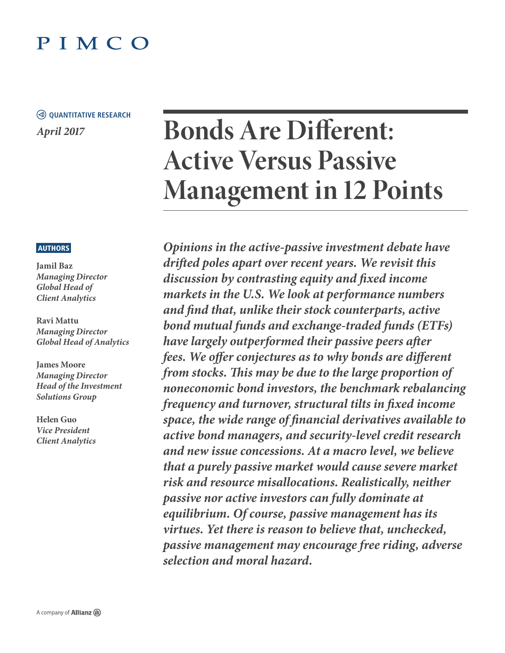## PIMCO

### *April 2017* **QUANTITATIVE RESEARCH**

# **Bonds Are Different: Active Versus Passive Management in 12 Points**

#### **AUTHORS**

**Jamil Baz** *Managing Director Global Head of Client Analytics*

**Ravi Mattu** *Managing Director Global Head of Analytics*

**James Moore**  *Managing Director Head of the Investment Solutions Group*

**Helen Guo**  *Vice President Client Analytics*

*Opinions in the active-passive investment debate have drifted poles apart over recent years. We revisit this discussion by contrasting equity and fixed income markets in the U.S. We look at performance numbers and find that, unlike their stock counterparts, active bond mutual funds and exchange-traded funds (ETFs) have largely outperformed their passive peers after fees. We offer conjectures as to why bonds are different from stocks. This may be due to the large proportion of noneconomic bond investors, the benchmark rebalancing frequency and turnover, structural tilts in fixed income space, the wide range of financial derivatives available to active bond managers, and security-level credit research and new issue concessions. At a macro level, we believe that a purely passive market would cause severe market risk and resource misallocations. Realistically, neither passive nor active investors can fully dominate at equilibrium. Of course, passive management has its virtues. Yet there is reason to believe that, unchecked, passive management may encourage free riding, adverse selection and moral hazard.*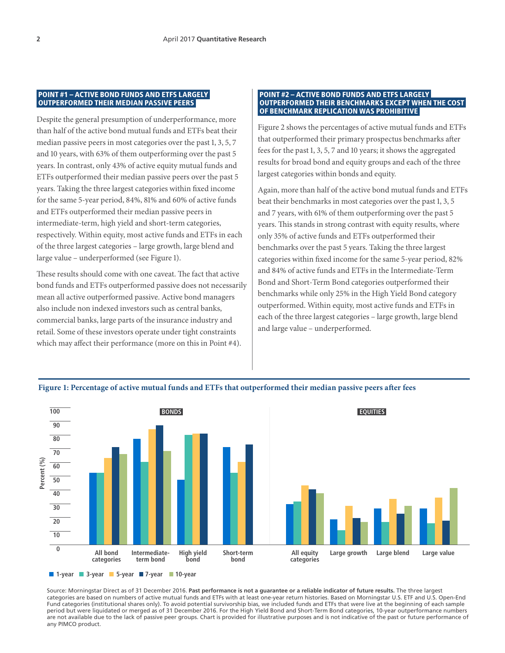#### POINT #1 – ACTIVE BOND FUNDS AND ETFS LARGELY OUTPERFORMED THEIR MEDIAN PASSIVE PEERS

Despite the general presumption of underperformance, more than half of the active bond mutual funds and ETFs beat their median passive peers in most categories over the past 1, 3, 5, 7 and 10 years, with 63% of them outperforming over the past 5 years. In contrast, only 43% of active equity mutual funds and ETFs outperformed their median passive peers over the past 5 years. Taking the three largest categories within fixed income for the same 5-year period, 84%, 81% and 60% of active funds and ETFs outperformed their median passive peers in intermediate-term, high yield and short-term categories, respectively. Within equity, most active funds and ETFs in each of the three largest categories – large growth, large blend and large value – underperformed (see Figure 1).

These results should come with one caveat. The fact that active bond funds and ETFs outperformed passive does not necessarily mean all active outperformed passive. Active bond managers also include non indexed investors such as central banks, commercial banks, large parts of the insurance industry and retail. Some of these investors operate under tight constraints which may affect their performance (more on this in Point #4).

#### POINT #2 – ACTIVE BOND FUNDS AND ETFS LARGELY OUTPERFORMED THEIR BENCHMARKS EXCEPT WHEN THE COST OF BENCHMARK REPLICATION WAS PROHIBITIVE

Figure 2 shows the percentages of active mutual funds and ETFs that outperformed their primary prospectus benchmarks after fees for the past 1, 3, 5, 7 and 10 years; it shows the aggregated results for broad bond and equity groups and each of the three largest categories within bonds and equity.

Again, more than half of the active bond mutual funds and ETFs beat their benchmarks in most categories over the past 1, 3, 5 and 7 years, with 61% of them outperforming over the past 5 years. This stands in strong contrast with equity results, where only 35% of active funds and ETFs outperformed their benchmarks over the past 5 years. Taking the three largest categories within fixed income for the same 5-year period, 82% and 84% of active funds and ETFs in the Intermediate-Term Bond and Short-Term Bond categories outperformed their benchmarks while only 25% in the High Yield Bond category outperformed. Within equity, most active funds and ETFs in each of the three largest categories – large growth, large blend and large value – underperformed.



**Figure 1: Percentage of active mutual funds and ETFs that outperformed their median passive peers after fees**

Source: Morningstar Direct as of 31 December 2016. **Past performance is not a guarantee or a reliable indicator of future results.** The three largest categories are based on numbers of active mutual funds and ETFs with at least one-year return histories. Based on Morningstar U.S. ETF and U.S. Open-End Fund categories (institutional shares only). To avoid potential survivorship bias, we included funds and ETFs that were live at the beginning of each sample period but were liquidated or merged as of 31 December 2016. For the High Yield Bond and Short-Term Bond categories, 10-year outperformance numbers are not available due to the lack of passive peer groups. Chart is provided for illustrative purposes and is not indicative of the past or future performance of any PIMCO product.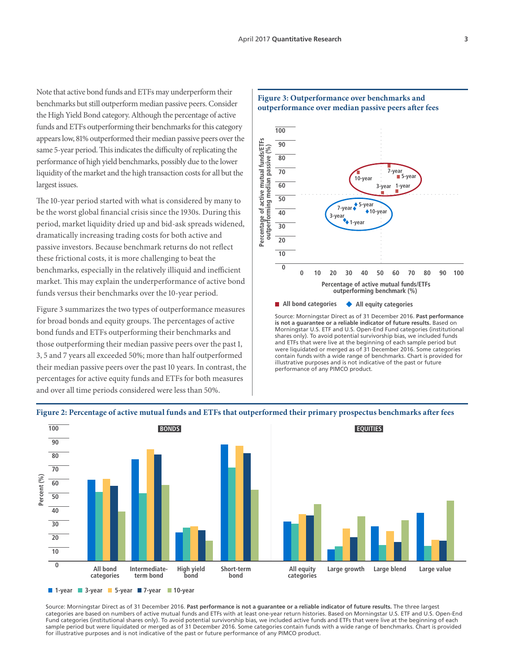Note that active bond funds and ETFs may underperform their benchmarks but still outperform median passive peers. Consider the High Yield Bond category. Although the percentage of active funds and ETFs outperforming their benchmarks for this category appears low, 81% outperformed their median passive peers over the same 5-year period. This indicates the difficulty of replicating the performance of high yield benchmarks, possibly due to the lower liquidity of the market and the high transaction costs for all but the largest issues.

The 10-year period started with what is considered by many to be the worst global financial crisis since the 1930s. During this period, market liquidity dried up and bid-ask spreads widened, dramatically increasing trading costs for both active and passive investors. Because benchmark returns do not reflect these frictional costs, it is more challenging to beat the benchmarks, especially in the relatively illiquid and inefficient market. This may explain the underperformance of active bond funds versus their benchmarks over the 10-year period.

Figure 3 summarizes the two types of outperformance measures for broad bonds and equity groups. The percentages of active bond funds and ETFs outperforming their benchmarks and those outperforming their median passive peers over the past 1, 3, 5 and 7 years all exceeded 50%; more than half outperformed their median passive peers over the past 10 years. In contrast, the percentages for active equity funds and ETFs for both measures and over all time periods considered were less than 50%.

#### **100 Percentage of active mutual funds/ETFs**  Percentage of active mutual funds/ETFs<br>outperforming median passive (%) **90 outperforming median passive (%) 80 10-year 5-year 7-year 70 60 3-year 1-year 50 5-year 7-year 10-year 40 1-year 3-year 30 20 10 0 0 10 20 30 40 50 60 70 80 90 100 Percentage of active mutual funds/ETFs outperforming benchmark (%)**

#### **Figure 3: Outperformance over benchmarks and outperformance over median passive peers after fees**

**All bond categories All equity categories**

Source: Morningstar Direct as of 31 December 2016. **Past performance is not a guarantee or a reliable indicator of future results.** Based on Morningstar U.S. ETF and U.S. Open-End Fund categories (institutional shares only). To avoid potential survivorship bias, we included funds and ETFs that were live at the beginning of each sample period but were liquidated or merged as of 31 December 2016. Some categories contain funds with a wide range of benchmarks. Chart is provided for illustrative purposes and is not indicative of the past or future performance of any PIMCO product.



#### **Figure 2: Percentage of active mutual funds and ETFs that outperformed their primary prospectus benchmarks after fees**

Source: Morningstar Direct as of 31 December 2016. **Past performance is not a guarantee or a reliable indicator of future results.** The three largest categories are based on numbers of active mutual funds and ETFs with at least one-year return histories. Based on Morningstar U.S. ETF and U.S. Open-End Fund categories (institutional shares only). To avoid potential survivorship bias, we included active funds and ETFs that were live at the beginning of each sample period but were liquidated or merged as of 31 December 2016. Some categories contain funds with a wide range of benchmarks. Chart is provided for illustrative purposes and is not indicative of the past or future performance of any PIMCO product.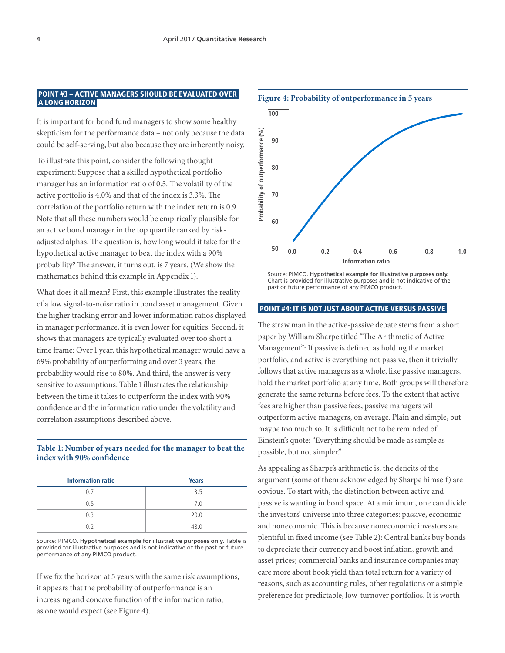#### POINT #3 – ACTIVE MANAGERS SHOULD BE EVALUATED OVER A LONG HORIZON

It is important for bond fund managers to show some healthy skepticism for the performance data – not only because the data could be self-serving, but also because they are inherently noisy.

To illustrate this point, consider the following thought experiment: Suppose that a skilled hypothetical portfolio manager has an information ratio of 0.5. The volatility of the active portfolio is 4.0% and that of the index is 3.3%. The correlation of the portfolio return with the index return is 0.9. Note that all these numbers would be empirically plausible for an active bond manager in the top quartile ranked by riskadjusted alphas. The question is, how long would it take for the hypothetical active manager to beat the index with a 90% probability? The answer, it turns out, is 7 years. (We show the mathematics behind this example in Appendix 1).

What does it all mean? First, this example illustrates the reality of a low signal-to-noise ratio in bond asset management. Given the higher tracking error and lower information ratios displayed in manager performance, it is even lower for equities. Second, it shows that managers are typically evaluated over too short a time frame: Over 1 year, this hypothetical manager would have a 69% probability of outperforming and over 3 years, the probability would rise to 80%. And third, the answer is very sensitive to assumptions. Table 1 illustrates the relationship between the time it takes to outperform the index with 90% confidence and the information ratio under the volatility and correlation assumptions described above.

#### **Table 1: Number of years needed for the manager to beat the index with 90% confidence**

| <b>Information ratio</b> | <b>Years</b> |
|--------------------------|--------------|
| 0.7                      | 3.5          |
| 0.5                      | 7.0          |
| 0.3                      | 20.0         |
| በ ን                      | 48.0         |

Source: PIMCO. **Hypothetical example for illustrative purposes only.** Table is provided for illustrative purposes and is not indicative of the past or future performance of any PIMCO product.

If we fix the horizon at 5 years with the same risk assumptions, it appears that the probability of outperformance is an increasing and concave function of the information ratio, as one would expect (see Figure 4).



Source: PIMCO. **Hypothetical example for illustrative purposes only.** Chart is provided for illustrative purposes and is not indicative of the past or future performance of any PIMCO product.

#### POINT #4: IT IS NOT JUST ABOUT ACTIVE VERSUS PASSIVE

The straw man in the active-passive debate stems from a short paper by William Sharpe titled "The Arithmetic of Active Management": If passive is defined as holding the market portfolio, and active is everything not passive, then it trivially follows that active managers as a whole, like passive managers, hold the market portfolio at any time. Both groups will therefore generate the same returns before fees. To the extent that active fees are higher than passive fees, passive managers will outperform active managers, on average. Plain and simple, but maybe too much so. It is difficult not to be reminded of Einstein's quote: "Everything should be made as simple as possible, but not simpler."

As appealing as Sharpe's arithmetic is, the deficits of the argument (some of them acknowledged by Sharpe himself) are obvious. To start with, the distinction between active and passive is wanting in bond space. At a minimum, one can divide the investors' universe into three categories: passive, economic and noneconomic. This is because noneconomic investors are plentiful in fixed income (see Table 2): Central banks buy bonds to depreciate their currency and boost inflation, growth and asset prices; commercial banks and insurance companies may care more about book yield than total return for a variety of reasons, such as accounting rules, other regulations or a simple preference for predictable, low-turnover portfolios. It is worth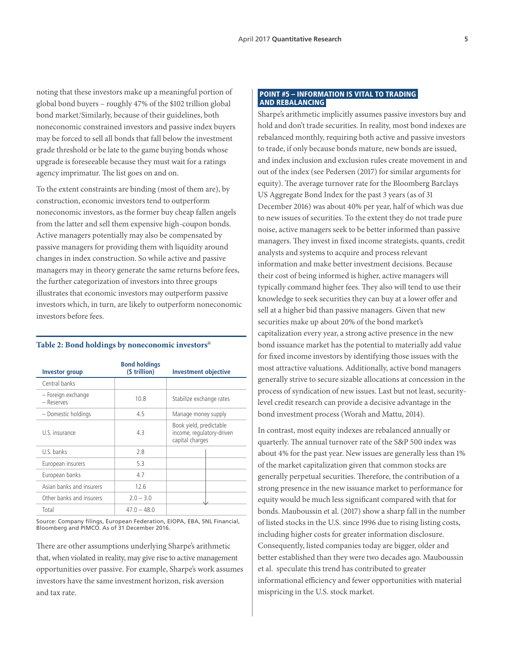noting that these investors make up a meaningful portion of global bond buyers – roughly 47% of the \$102 trillion global bond market!Similarly, because of their guidelines, both noneconomic constrained investors and passive index buyers may be forced to sell all bonds that fall below the investment grade threshold or be late to the game buying bonds whose upgrade is foreseeable because they must wait for a ratings agency imprimatur. The list goes on and on.

To the extent constraints are binding (most of them are), by construction, economic investors tend to outperform noneconomic investors, as the former buy cheap fallen angels from the latter and sell them expensive high-coupon bonds. Active managers potentially may also be compensated by passive managers for providing them with liquidity around changes in index construction. So while active and passive managers may in theory generate the same returns before fees, the further categorization of investors into three groups illustrates that economic investors may outperform passive investors which, in turn, are likely to outperform noneconomic investors before fees.

| <b>Investor group</b>            | <b>Bond holdings</b><br>(\$ trillion) | <b>Investment objective</b>                                             |
|----------------------------------|---------------------------------------|-------------------------------------------------------------------------|
| Central banks                    |                                       |                                                                         |
| - Foreign exchange<br>- Reserves | 10.8                                  | Stabilize exchange rates                                                |
| - Domestic holdings              | 4.5                                   | Manage money supply                                                     |
| U.S. insurance                   | 4.3                                   | Book yield, predictable<br>income, regulatory-driven<br>capital charges |
| U.S. banks                       | 2.8                                   |                                                                         |
| European insurers                | 5.3                                   |                                                                         |
| European banks                   | 4.7                                   |                                                                         |
| Asian banks and insurers         | 12.6                                  |                                                                         |
| Other banks and insurers         | $2.0 - 3.0$                           |                                                                         |
| Total                            | $47.0 - 48.0$                         |                                                                         |

#### **Table 2: Bond holdings by noneconomic investorsii**

Source: Company filings, European Federation, EIOPA, EBA, SNL Financial, Bloomberg and PIMCO. As of 31 December 2016.

There are other assumptions underlying Sharpe's arithmetic that, when violated in reality, may give rise to active management opportunities over passive. For example, Sharpe's work assumes investors have the same investment horizon, risk aversion and tax rate.

#### POINT #5 – INFORMATION IS VITAL TO TRADING AND REBALANCING

Sharpe's arithmetic implicitly assumes passive investors buy and hold and don't trade securities. In reality, most bond indexes are rebalanced monthly, requiring both active and passive investors to trade, if only because bonds mature, new bonds are issued, and index inclusion and exclusion rules create movement in and out of the index (see Pedersen (2017) for similar arguments for equity). The average turnover rate for the Bloomberg Barclays US Aggregate Bond Index for the past 3 years (as of 31 December 2016) was about 40% per year, half of which was due to new issues of securities. To the extent they do not trade pure noise, active managers seek to be better informed than passive managers. They invest in fixed income strategists, quants, credit analysts and systems to acquire and process relevant information and make better investment decisions. Because their cost of being informed is higher, active managers will typically command higher fees. They also will tend to use their knowledge to seek securities they can buy at a lower offer and sell at a higher bid than passive managers. Given that new securities make up about 20% of the bond market's capitalization every year, a strong active presence in the new bond issuance market has the potential to materially add value for fixed income investors by identifying those issues with the most attractive valuations. Additionally, active bond managers generally strive to secure sizable allocations at concession in the process of syndication of new issues. Last but not least, securitylevel credit research can provide a decisive advantage in the bond investment process (Worah and Mattu, 2014).

In contrast, most equity indexes are rebalanced annually or quarterly. The annual turnover rate of the S&P 500 index was about 4% for the past year. New issues are generally less than 1% of the market capitalization given that common stocks are generally perpetual securities. Therefore, the contribution of a strong presence in the new issuance market to performance for equity would be much less significant compared with that for bonds. Mauboussin et al. (2017) show a sharp fall in the number of listed stocks in the U.S. since 1996 due to rising listing costs, including higher costs for greater information disclosure. Consequently, listed companies today are bigger, older and better established than they were two decades ago. Mauboussin et al. speculate this trend has contributed to greater informational efficiency and fewer opportunities with material mispricing in the U.S. stock market.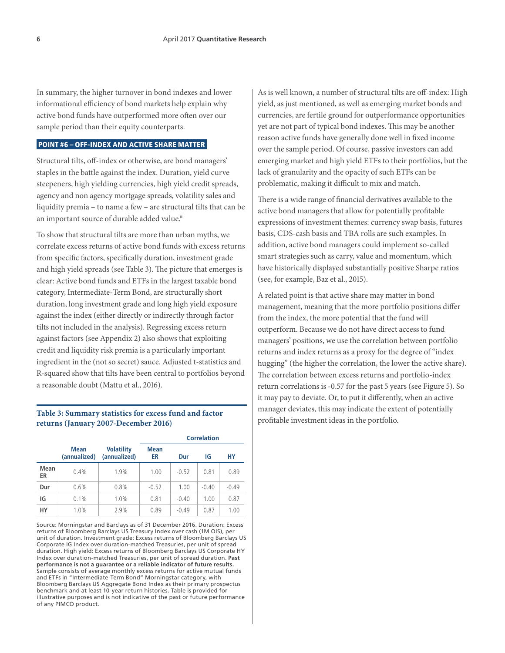In summary, the higher turnover in bond indexes and lower informational efficiency of bond markets help explain why active bond funds have outperformed more often over our sample period than their equity counterparts.

#### POINT #6 – OFF-INDEX AND ACTIVE SHARE MATTER

Structural tilts, off-index or otherwise, are bond managers' staples in the battle against the index. Duration, yield curve steepeners, high yielding currencies, high yield credit spreads, agency and non agency mortgage spreads, volatility sales and liquidity premia – to name a few – are structural tilts that can be an important source of durable added value.iii

To show that structural tilts are more than urban myths, we correlate excess returns of active bond funds with excess returns from specific factors, specifically duration, investment grade and high yield spreads (see Table 3). The picture that emerges is clear: Active bond funds and ETFs in the largest taxable bond category, Intermediate-Term Bond, are structurally short duration, long investment grade and long high yield exposure against the index (either directly or indirectly through factor tilts not included in the analysis). Regressing excess return against factors (see Appendix 2) also shows that exploiting credit and liquidity risk premia is a particularly important ingredient in the (not so secret) sauce. Adjusted t-statistics and R-squared show that tilts have been central to portfolios beyond a reasonable doubt (Mattu et al., 2016).

#### **Table 3: Summary statistics for excess fund and factor returns (January 2007-December 2016)**

|            |                             |                                   |                   | <b>Correlation</b> |         |         |  |  |
|------------|-----------------------------|-----------------------------------|-------------------|--------------------|---------|---------|--|--|
|            | <b>Mean</b><br>(annualized) | <b>Volatility</b><br>(annualized) | <b>Mean</b><br>ER | Dur                | IG      | НY      |  |  |
| Mean<br>ER | 0.4%                        | 1.9%                              | 1.00              | $-0.52$            | 0.81    | 0.89    |  |  |
| Dur        | 0.6%                        | 0.8%                              | $-0.52$           | 1.00               | $-0.40$ | $-0.49$ |  |  |
| IG         | 0.1%                        | 1.0%                              | 0.81              | $-0.40$            | 1.00    | 0.87    |  |  |
| HY         | 1.0%                        | 2.9%                              | 0.89              | $-0.49$            | 0.87    | 1.00    |  |  |

Source: Morningstar and Barclays as of 31 December 2016. Duration: Excess returns of Bloomberg Barclays US Treasury Index over cash (1M OIS), per unit of duration. Investment grade: Excess returns of Bloomberg Barclays US Corporate IG Index over duration-matched Treasuries, per unit of spread duration. High yield: Excess returns of Bloomberg Barclays US Corporate HY Index over duration-matched Treasuries, per unit of spread duration. **Past performance is not a guarantee or a reliable indicator of future results.** Sample consists of average monthly excess returns for active mutual funds and ETFs in "Intermediate-Term Bond" Morningstar category, with Bloomberg Barclays US Aggregate Bond Index as their primary prospectus benchmark and at least 10-year return histories. Table is provided for illustrative purposes and is not indicative of the past or future performance of any PIMCO product.

As is well known, a number of structural tilts are off-index: High yield, as just mentioned, as well as emerging market bonds and currencies, are fertile ground for outperformance opportunities yet are not part of typical bond indexes. This may be another reason active funds have generally done well in fixed income over the sample period. Of course, passive investors can add emerging market and high yield ETFs to their portfolios, but the lack of granularity and the opacity of such ETFs can be problematic, making it difficult to mix and match.

There is a wide range of financial derivatives available to the active bond managers that allow for potentially profitable expressions of investment themes: currency swap basis, futures basis, CDS-cash basis and TBA rolls are such examples. In addition, active bond managers could implement so-called smart strategies such as carry, value and momentum, which have historically displayed substantially positive Sharpe ratios (see, for example, Baz et al., 2015).

A related point is that active share may matter in bond management, meaning that the more portfolio positions differ from the index, the more potential that the fund will outperform. Because we do not have direct access to fund managers' positions, we use the correlation between portfolio returns and index returns as a proxy for the degree of "index hugging" (the higher the correlation, the lower the active share). The correlation between excess returns and portfolio-index return correlations is -0.57 for the past 5 years (see Figure 5). So it may pay to deviate. Or, to put it differently, when an active manager deviates, this may indicate the extent of potentially profitable investment ideas in the portfolio.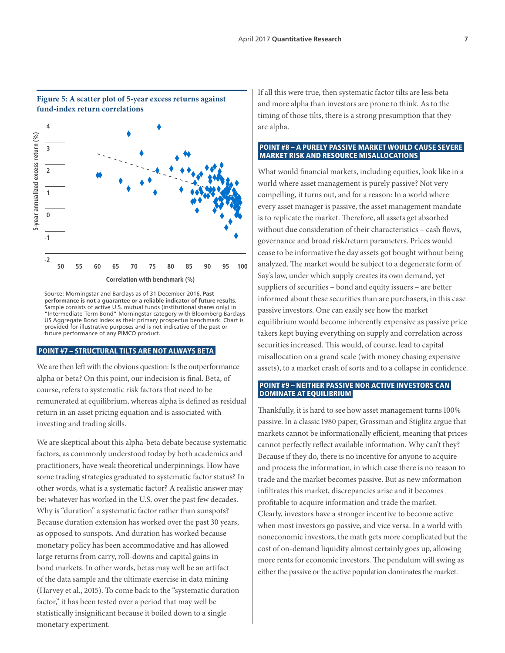

Source: Morningstar and Barclays as of 31 December 2016. **Past performance is not a guarantee or a reliable indicator of future results.**  Sample consists of active U.S. mutual funds (institutional shares only) in "Intermediate-Term Bond" Morningstar category with Bloomberg Barclays US Aggregate Bond Index as their primary prospectus benchmark. Chart is provided for illustrative purposes and is not indicative of the past or future performance of any PIMCO product.

#### POINT #7 – STRUCTURAL TILTS ARE NOT ALWAYS BETA

We are then left with the obvious question: Is the outperformance alpha or beta? On this point, our indecision is final. Beta, of course, refers to systematic risk factors that need to be remunerated at equilibrium, whereas alpha is defined as residual return in an asset pricing equation and is associated with investing and trading skills.

We are skeptical about this alpha-beta debate because systematic factors, as commonly understood today by both academics and practitioners, have weak theoretical underpinnings. How have some trading strategies graduated to systematic factor status? In other words, what is a systematic factor? A realistic answer may be: whatever has worked in the U.S. over the past few decades. Why is "duration" a systematic factor rather than sunspots? Because duration extension has worked over the past 30 years, as opposed to sunspots. And duration has worked because monetary policy has been accommodative and has allowed large returns from carry, roll-downs and capital gains in bond markets. In other words, betas may well be an artifact of the data sample and the ultimate exercise in data mining (Harvey et al., 2015). To come back to the "systematic duration factor," it has been tested over a period that may well be statistically insignificant because it boiled down to a single monetary experiment.

If all this were true, then systematic factor tilts are less beta and more alpha than investors are prone to think. As to the timing of those tilts, there is a strong presumption that they are alpha.

#### POINT #8 – A PURELY PASSIVE MARKET WOULD CAUSE SEVERE MARKET RISK AND RESOURCE MISALLOCATIONS

What would financial markets, including equities, look like in a world where asset management is purely passive? Not very compelling, it turns out, and for a reason: In a world where every asset manager is passive, the asset management mandate is to replicate the market. Therefore, all assets get absorbed without due consideration of their characteristics – cash flows, governance and broad risk/return parameters. Prices would cease to be informative the day assets got bought without being analyzed. The market would be subject to a degenerate form of Say's law, under which supply creates its own demand, yet suppliers of securities – bond and equity issuers – are better informed about these securities than are purchasers, in this case passive investors. One can easily see how the market equilibrium would become inherently expensive as passive price takers kept buying everything on supply and correlation across securities increased. This would, of course, lead to capital misallocation on a grand scale (with money chasing expensive assets), to a market crash of sorts and to a collapse in confidence.

#### POINT #9 – NEITHER PASSIVE NOR ACTIVE INVESTORS CAN DOMINATE AT EQUILIBRIUM

Thankfully, it is hard to see how asset management turns 100% passive. In a classic 1980 paper, Grossman and Stiglitz argue that markets cannot be informationally efficient, meaning that prices cannot perfectly reflect available information. Why can't they? Because if they do, there is no incentive for anyone to acquire and process the information, in which case there is no reason to trade and the market becomes passive. But as new information infiltrates this market, discrepancies arise and it becomes profitable to acquire information and trade the market. Clearly, investors have a stronger incentive to become active when most investors go passive, and vice versa. In a world with noneconomic investors, the math gets more complicated but the cost of on-demand liquidity almost certainly goes up, allowing more rents for economic investors. The pendulum will swing as either the passive or the active population dominates the market.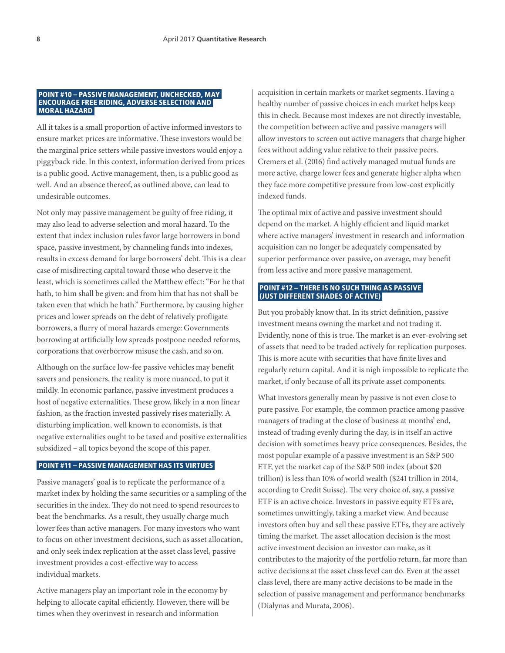#### POINT #10 – PASSIVE MANAGEMENT, UNCHECKED, MAY ENCOURAGE FREE RIDING, ADVERSE SELECTION AND MORAL HAZARD

All it takes is a small proportion of active informed investors to ensure market prices are informative. These investors would be the marginal price setters while passive investors would enjoy a piggyback ride. In this context, information derived from prices is a public good. Active management, then, is a public good as well. And an absence thereof, as outlined above, can lead to undesirable outcomes.

Not only may passive management be guilty of free riding, it may also lead to adverse selection and moral hazard. To the extent that index inclusion rules favor large borrowers in bond space, passive investment, by channeling funds into indexes, results in excess demand for large borrowers' debt. This is a clear case of misdirecting capital toward those who deserve it the least, which is sometimes called the Matthew effect: "For he that hath, to him shall be given: and from him that has not shall be taken even that which he hath." Furthermore, by causing higher prices and lower spreads on the debt of relatively profligate borrowers, a flurry of moral hazards emerge: Governments borrowing at artificially low spreads postpone needed reforms, corporations that overborrow misuse the cash, and so on.

Although on the surface low-fee passive vehicles may benefit savers and pensioners, the reality is more nuanced, to put it mildly. In economic parlance, passive investment produces a host of negative externalities. These grow, likely in a non linear fashion, as the fraction invested passively rises materially. A disturbing implication, well known to economists, is that negative externalities ought to be taxed and positive externalities subsidized – all topics beyond the scope of this paper.

#### POINT #11 – PASSIVE MANAGEMENT HAS ITS VIRTUES

Passive managers' goal is to replicate the performance of a market index by holding the same securities or a sampling of the securities in the index. They do not need to spend resources to beat the benchmarks. As a result, they usually charge much lower fees than active managers. For many investors who want to focus on other investment decisions, such as asset allocation, and only seek index replication at the asset class level, passive investment provides a cost-effective way to access individual markets.

Active managers play an important role in the economy by helping to allocate capital efficiently. However, there will be times when they overinvest in research and information

acquisition in certain markets or market segments. Having a healthy number of passive choices in each market helps keep this in check. Because most indexes are not directly investable, the competition between active and passive managers will allow investors to screen out active managers that charge higher fees without adding value relative to their passive peers. Cremers et al. (2016) find actively managed mutual funds are more active, charge lower fees and generate higher alpha when they face more competitive pressure from low-cost explicitly indexed funds.

The optimal mix of active and passive investment should depend on the market. A highly efficient and liquid market where active managers' investment in research and information acquisition can no longer be adequately compensated by superior performance over passive, on average, may benefit from less active and more passive management.

#### POINT #12 – THERE IS NO SUCH THING AS PASSIVE (JUST DIFFERENT SHADES OF ACTIVE)

But you probably know that. In its strict definition, passive investment means owning the market and not trading it. Evidently, none of this is true. The market is an ever-evolving set of assets that need to be traded actively for replication purposes. This is more acute with securities that have finite lives and regularly return capital. And it is nigh impossible to replicate the market, if only because of all its private asset components.

What investors generally mean by passive is not even close to pure passive. For example, the common practice among passive managers of trading at the close of business at months' end, instead of trading evenly during the day, is in itself an active decision with sometimes heavy price consequences. Besides, the most popular example of a passive investment is an S&P 500 ETF, yet the market cap of the S&P 500 index (about \$20 trillion) is less than 10% of world wealth (\$241 trillion in 2014, according to Credit Suisse). The very choice of, say, a passive ETF is an active choice. Investors in passive equity ETFs are, sometimes unwittingly, taking a market view. And because investors often buy and sell these passive ETFs, they are actively timing the market. The asset allocation decision is the most active investment decision an investor can make, as it contributes to the majority of the portfolio return, far more than active decisions at the asset class level can do. Even at the asset class level, there are many active decisions to be made in the selection of passive management and performance benchmarks (Dialynas and Murata, 2006).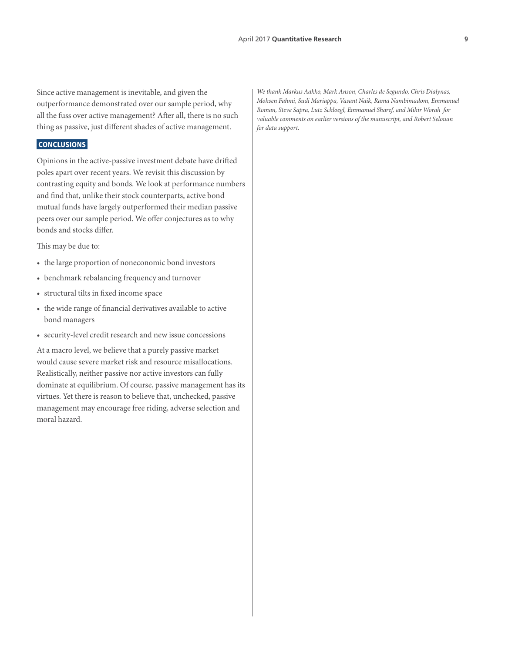Since active management is inevitable, and given the outperformance demonstrated over our sample period, why all the fuss over active management? After all, there is no such thing as passive, just different shades of active management.

#### CONCLUSIONS

Opinions in the active-passive investment debate have drifted poles apart over recent years. We revisit this discussion by contrasting equity and bonds. We look at performance numbers and find that, unlike their stock counterparts, active bond mutual funds have largely outperformed their median passive peers over our sample period. We offer conjectures as to why bonds and stocks differ.

This may be due to:

- the large proportion of noneconomic bond investors
- benchmark rebalancing frequency and turnover
- structural tilts in fixed income space
- the wide range of financial derivatives available to active bond managers
- security-level credit research and new issue concessions

At a macro level, we believe that a purely passive market would cause severe market risk and resource misallocations. Realistically, neither passive nor active investors can fully dominate at equilibrium. Of course, passive management has its virtues. Yet there is reason to believe that, unchecked, passive management may encourage free riding, adverse selection and moral hazard.

*We thank Markus Aakko, Mark Anson, Charles de Segundo, Chris Dialynas, Mohsen Fahmi, Sudi Mariappa, Vasant Naik, Rama Nambimadom, Emmanuel Roman, Steve Sapra, Lutz Schloegl, Emmanuel Sharef, and Mihir Worah for valuable comments on earlier versions of the manuscript, and Robert Selouan for data support.*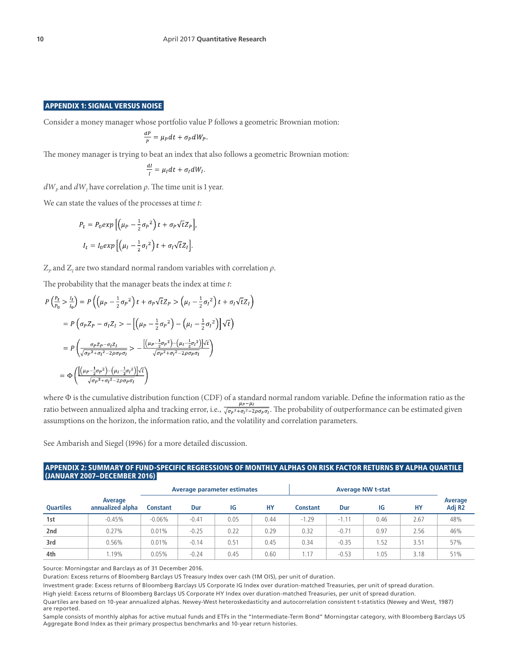#### APPENDIX 1: SIGNAL VERSUS NOISE

Consider a money manager whose portfolio value P follows a geometric Brownian motion:

$$
\frac{dP}{p} = \mu_P dt + \sigma_P dW_P.
$$

The money manager is trying to beat an index that also follows a geometric Brownian motion:

$$
\frac{dl}{I} = \mu_I dt + \sigma_I dW_I.
$$

 $dW_p$  and  $dW_I$  have correlation  $\rho$ . The time unit is 1 year.

We can state the values of the processes at time *t*:

$$
P_t = P_0 \exp\left[\left(\mu_P - \frac{1}{2}\sigma_P^2\right)t + \sigma_P \sqrt{t}Z_P\right],
$$
  

$$
I_t = I_0 \exp\left[\left(\mu_I - \frac{1}{2}\sigma_I^2\right)t + \sigma_I \sqrt{t}Z_I\right].
$$

 $\text{Z}_p$  and  $\text{Z}_I$  are two standard normal random variables with correlation  $\rho.$ 

The probability that the manager beats the index at time *t*:

$$
P\left(\frac{P_t}{P_0} > \frac{l_t}{l_0}\right) = P\left(\left(\mu_P - \frac{1}{2}\sigma_P^2\right)t + \sigma_P\sqrt{t}Z_P > \left(\mu_I - \frac{1}{2}\sigma_I^2\right)t + \sigma_I\sqrt{t}Z_I\right)
$$
  
\n
$$
= P\left(\sigma_P Z_P - \sigma_I Z_I > -\left[\left(\mu_P - \frac{1}{2}\sigma_P^2\right) - \left(\mu_I - \frac{1}{2}\sigma_I^2\right)\right]\sqrt{t}\right)
$$
  
\n
$$
= P\left(\frac{\sigma_P Z_P - \sigma_I Z_I}{\sqrt{\sigma_P^2 + \sigma_I^2 - 2\rho\sigma_P\sigma_I}} > -\frac{\left[\left(\mu_P - \frac{1}{2}\sigma_P^2\right) - \left(\mu_I - \frac{1}{2}\sigma_I^2\right)\right]\sqrt{t}}{\sqrt{\sigma_P^2 + \sigma_I^2 - 2\rho\sigma_P\sigma_I}}\right)
$$
  
\n
$$
= \Phi\left(\frac{\left[\left(\mu_P - \frac{1}{2}\sigma_P^2\right) - \left(\mu_I - \frac{1}{2}\sigma_I^2\right)\right]\sqrt{t}}{\sqrt{\sigma_P^2 + \sigma_I^2 - 2\rho\sigma_P\sigma_I}}\right)
$$

where  $\Phi$  is the cumulative distribution function (CDF) of a standard normal random variable. Define the information ratio as the ratio between annualized alpha and tracking error, i.e.,  $\overline{\sqrt{\sigma_p^2+\sigma_i^2-2\rho\sigma_p\sigma_i}}$ . The probability of outperformance can be estimated given assumptions on the horizon, the information ratio, and the volatility and correlation parameters.

See Ambarish and Siegel (1996) for a more detailed discussion.

#### APPENDIX 2: SUMMARY OF FUND-SPECIFIC REGRESSIONS OF MONTHLY ALPHAS ON RISK FACTOR RETURNS BY ALPHA QUARTILE (JANUARY 2007–DECEMBER 2016)

|                  |                             | Average parameter estimates |         |      | <b>Average NW t-stat</b> |                 |         |      |      |                               |
|------------------|-----------------------------|-----------------------------|---------|------|--------------------------|-----------------|---------|------|------|-------------------------------|
| <b>Ouartiles</b> | Average<br>annualized alpha | <b>Constant</b>             | Dur     | ΙG   | HY                       | <b>Constant</b> | Dur     | ΙG   | НY   | Average<br>Adj R <sub>2</sub> |
| 1st              | $-0.45%$                    | $-0.06\%$                   | $-0.41$ | 0.05 | 0.44                     | $-1.29$         | $-1.11$ | 0.46 | 2.67 | 48%                           |
| 2nd              | 0.27%                       | 0.01%                       | $-0.25$ | 0.22 | 0.29                     | 0.32            | $-0.71$ | 0.97 | 2.56 | 46%                           |
| 3rd              | 0.56%                       | 0.01%                       | $-0.14$ | 0.51 | 0.45                     | 0.34            | $-0.35$ | .52  | 3.51 | 57%                           |
| 4th              | .19%                        | 0.05%                       | $-0.24$ | 0.45 | 0.60                     | 1.17            | $-0.53$ | .05  | 3.18 | 51%                           |

Source: Morningstar and Barclays as of 31 December 2016.

Duration: Excess returns of Bloomberg Barclays US Treasury Index over cash (1M OIS), per unit of duration.

Investment grade: Excess returns of Bloomberg Barclays US Corporate IG Index over duration-matched Treasuries, per unit of spread duration.

High yield: Excess returns of Bloomberg Barclays US Corporate HY Index over duration-matched Treasuries, per unit of spread duration.

Quartiles are based on 10-year annualized alphas. Newey-West heteroskedasticity and autocorrelation consistent t-statistics (Newey and West, 1987) are reported.

Sample consists of monthly alphas for active mutual funds and ETFs in the "Intermediate-Term Bond" Morningstar category, with Bloomberg Barclays US Aggregate Bond Index as their primary prospectus benchmarks and 10-year return histories.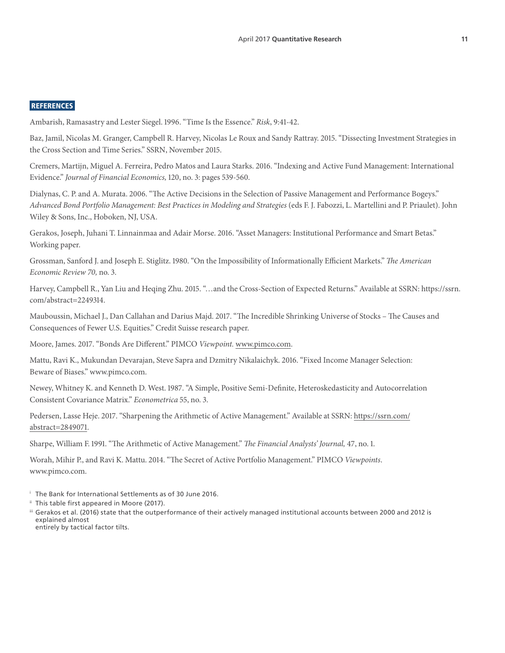#### REFERENCES

Ambarish, Ramasastry and Lester Siegel. 1996. "Time Is the Essence." *Risk*, 9:41-42.

Baz, Jamil, Nicolas M. Granger, Campbell R. Harvey, Nicolas Le Roux and Sandy Rattray. 2015. "Dissecting Investment Strategies in the Cross Section and Time Series." SSRN, November 2015.

Cremers, Martijn, Miguel A. Ferreira, Pedro Matos and Laura Starks. 2016. "Indexing and Active Fund Management: International Evidence." *Journal of Financial Economics,* 120, no. 3: pages 539-560.

Dialynas, C. P. and A. Murata. 2006. "The Active Decisions in the Selection of Passive Management and Performance Bogeys." *Advanced Bond Portfolio Management: Best Practices in Modeling and Strategies* (eds F. J. Fabozzi, L. Martellini and P. Priaulet). John Wiley & Sons, Inc., Hoboken, NJ, USA.

Gerakos, Joseph, Juhani T. Linnainmaa and Adair Morse. 2016. "Asset Managers: Institutional Performance and Smart Betas." Working paper.

Grossman, Sanford J. and Joseph E. Stiglitz. 1980. "On the Impossibility of Informationally Efficient Markets." *The American Economic Review 70,* no. 3.

Harvey, Campbell R., Yan Liu and Heqing Zhu. 2015. "…and the Cross-Section of Expected Returns." Available at SSRN: https://ssrn. com/abstract=2249314.

Mauboussin, Michael J., Dan Callahan and Darius Majd. 2017. "The Incredible Shrinking Universe of Stocks – The Causes and Consequences of Fewer U.S. Equities." Credit Suisse research paper.

Moore, James. 2017. "Bonds Are Different." PIMCO *Viewpoint.* [www.pimco.com.](http://www.pimco.com)

Mattu, Ravi K., Mukundan Devarajan, Steve Sapra and Dzmitry Nikalaichyk. 2016. "Fixed Income Manager Selection: Beware of Biases." www.pimco.com.

Newey, Whitney K. and Kenneth D. West. 1987. "A Simple, Positive Semi-Definite, Heteroskedasticity and Autocorrelation Consistent Covariance Matrix." *Econometrica* 55, no. 3.

Pedersen, Lasse Heje. 2017. "Sharpening the Arithmetic of Active Management." Available at SSRN: [https://ssrn.com/](https://papers.ssrn.com/sol3/papers.cfm?abstract_id=2849071) [abstract=2849071.](https://papers.ssrn.com/sol3/papers.cfm?abstract_id=2849071)

Sharpe, William F. 1991. "The Arithmetic of Active Management." *The Financial Analysts' Journal,* 47, no. 1.

Worah, Mihir P., and Ravi K. Mattu. 2014. "The Secret of Active Portfolio Management." PIMCO *Viewpoints*. www.pimco.com.

- <sup>i</sup> The Bank for International Settlements as of 30 June 2016.
- ii This table first appeared in Moore (2017).
- iii Gerakos et al. (2016) state that the outperformance of their actively managed institutional accounts between 2000 and 2012 is explained almost entirely by tactical factor tilts.